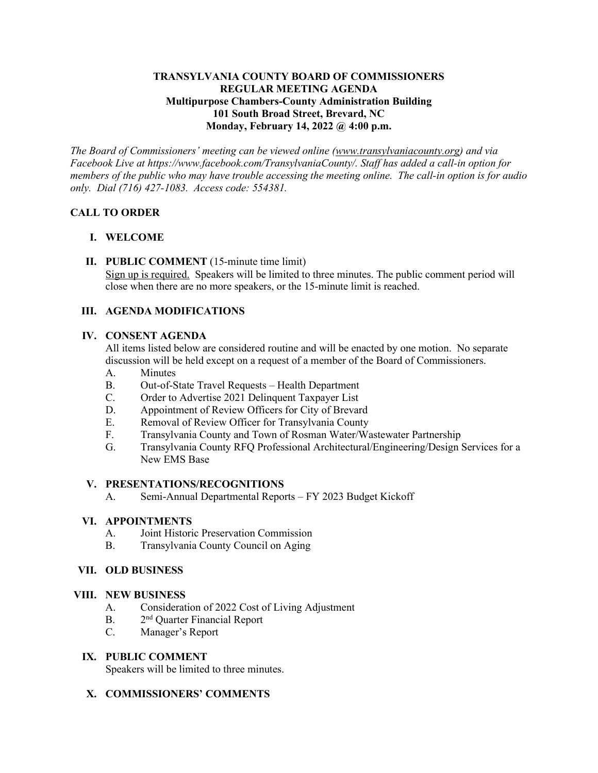## **TRANSYLVANIA COUNTY BOARD OF COMMISSIONERS REGULAR MEETING AGENDA Multipurpose Chambers-County Administration Building 101 South Broad Street, Brevard, NC Monday, February 14, 2022 @ 4:00 p.m.**

*The Board of Commissioners' meeting can be viewed online [\(www.transylvaniacounty.org\)](http://www.transylvaniacounty.org/) and via Facebook Live at https://www.facebook.com/TransylvaniaCounty/. Staff has added a call-in option for members of the public who may have trouble accessing the meeting online. The call-in option is for audio only. Dial (716) 427-1083. Access code: 554381.* 

# **CALL TO ORDER**

## **I. WELCOME**

**II. PUBLIC COMMENT** (15-minute time limit) Sign up is required. Speakers will be limited to three minutes. The public comment period will close when there are no more speakers, or the 15-minute limit is reached.

## **III. AGENDA MODIFICATIONS**

### **IV. CONSENT AGENDA**

All items listed below are considered routine and will be enacted by one motion. No separate discussion will be held except on a request of a member of the Board of Commissioners.

- A. Minutes
- B. Out-of-State Travel Requests Health Department
- C. Order to Advertise 2021 Delinquent Taxpayer List
- D. Appointment of Review Officers for City of Brevard
- E. Removal of Review Officer for Transylvania County
- F. Transylvania County and Town of Rosman Water/Wastewater Partnership
- G. Transylvania County RFQ Professional Architectural/Engineering/Design Services for a New EMS Base

### **V. PRESENTATIONS/RECOGNITIONS**

A. Semi-Annual Departmental Reports – FY 2023 Budget Kickoff

### **VI. APPOINTMENTS**

- A. Joint Historic Preservation Commission
- B. Transylvania County Council on Aging

## **VII. OLD BUSINESS**

### **VIII. NEW BUSINESS**

- A. Consideration of 2022 Cost of Living Adjustment
- B. 2<sup>nd</sup> Quarter Financial Report
- C. Manager's Report

### **IX. PUBLIC COMMENT**

Speakers will be limited to three minutes.

### **X. COMMISSIONERS' COMMENTS**